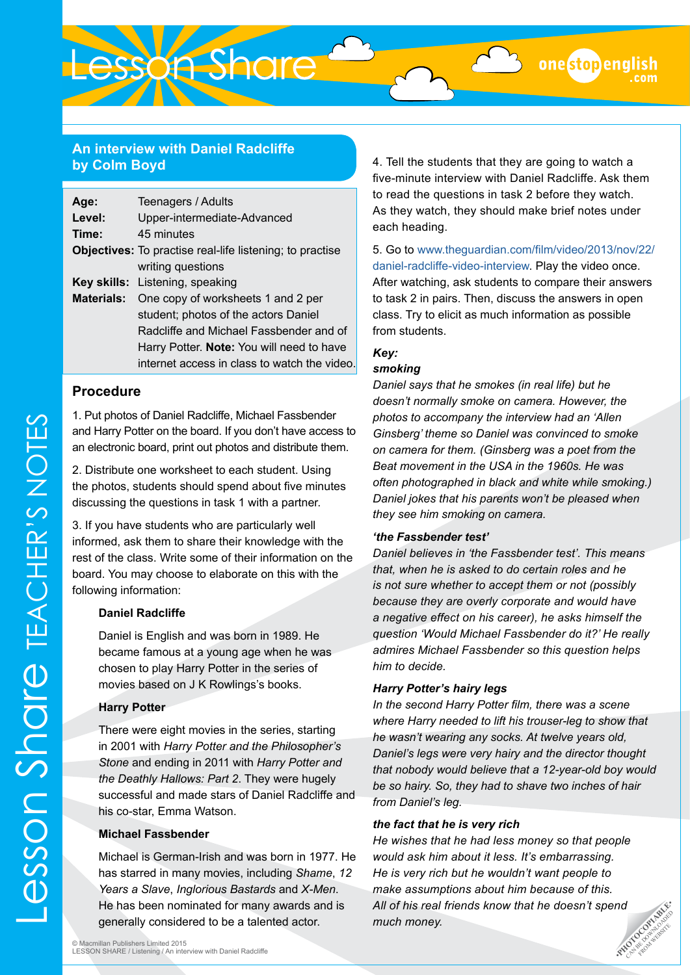#### **An interview with Daniel Radcliffe by Colm Boyd**

Lesson Share

| Age:   | Teenagers / Adults                                              |
|--------|-----------------------------------------------------------------|
| Level: | Upper-intermediate-Advanced                                     |
| Time:  | 45 minutes                                                      |
|        | <b>Objectives:</b> To practise real-life listening; to practise |
|        | writing questions                                               |
|        | Key skills: Listening, speaking                                 |
|        | <b>Materials:</b> One copy of worksheets 1 and 2 per            |
|        | student; photos of the actors Daniel                            |
|        | Radcliffe and Michael Fassbender and of                         |
|        | Harry Potter. Note: You will need to have                       |
|        | internet access in class to watch the video.                    |

#### **Procedure**

1. Put photos of Daniel Radcliffe, Michael Fassbender and Harry Potter on the board. If you don't have access to an electronic board, print out photos and distribute them.

2. Distribute one worksheet to each student. Using the photos, students should spend about five minutes discussing the questions in task 1 with a partner.

3. If you have students who are particularly well informed, ask them to share their knowledge with the rest of the class. Write some of their information on the board. You may choose to elaborate on this with the following information:

#### **Daniel Radcliffe**

Daniel is English and was born in 1989. He became famous at a young age when he was chosen to play Harry Potter in the series of movies based on J K Rowlings's books.

#### **Harry Potter**

There were eight movies in the series, starting in 2001 with *Harry Potter and the Philosopher's Stone* and ending in 2011 with *Harry Potter and the Deathly Hallows: Part 2*. They were hugely successful and made stars of Daniel Radcliffe and his co-star, Emma Watson.

#### **Michael Fassbender**

Michael is German-Irish and was born in 1977. He has starred in many movies, including *Shame*, *12 Years a Slave*, *Inglorious Bastards* and *X-Men*. He has been nominated for many awards and is generally considered to be a talented actor.

4. Tell the students that they are going to watch a five-minute interview with Daniel Radcliffe. Ask them to read the questions in task 2 before they watch. As they watch, they should make brief notes under each heading.

5. Go to [www.theguardian.com/film/video/2013/nov/22/](http://www.theguardian.com/film/video/2013/nov/22/daniel-radcliffe-video-interview) [daniel-radcliffe-video-interview.](http://www.theguardian.com/film/video/2013/nov/22/daniel-radcliffe-video-interview) Play the video once. After watching, ask students to compare their answers to task 2 in pairs. Then, discuss the answers in open class. Try to elicit as much information as possible from students.

#### *Key: smoking*

### *Daniel says that he smokes (in real life) but he doesn't normally smoke on camera. However, the photos to accompany the interview had an 'Allen Ginsberg' theme so Daniel was convinced to smoke on camera for them. (Ginsberg was a poet from the Beat movement in the USA in the 1960s. He was often photographed in black and white while smoking.) Daniel jokes that his parents won't be pleased when*

#### *'the Fassbender test'*

*they see him smoking on camera.*

*Daniel believes in 'the Fassbender test'. This means that, when he is asked to do certain roles and he is not sure whether to accept them or not (possibly because they are overly corporate and would have a negative effect on his career), he asks himself the question 'Would Michael Fassbender do it?' He really admires Michael Fassbender so this question helps him to decide.*

#### *Harry Potter's hairy legs*

*In the second Harry Potter film, there was a scene where Harry needed to lift his trouser-leg to show that he wasn't wearing any socks. At twelve years old, Daniel's legs were very hairy and the director thought that nobody would believe that a 12-year-old boy would be so hairy. So, they had to shave two inches of hair from Daniel's leg.*

#### *the fact that he is very rich*

**nd**<br>Exploraded be property *He wishes that he had less money so that people would ask him about it less. It's embarrassing. He is very rich but he wouldn't want people to make assumptions about him because of this. All of his real friends know that he doesn't spend much money.*

FROM WEBSITE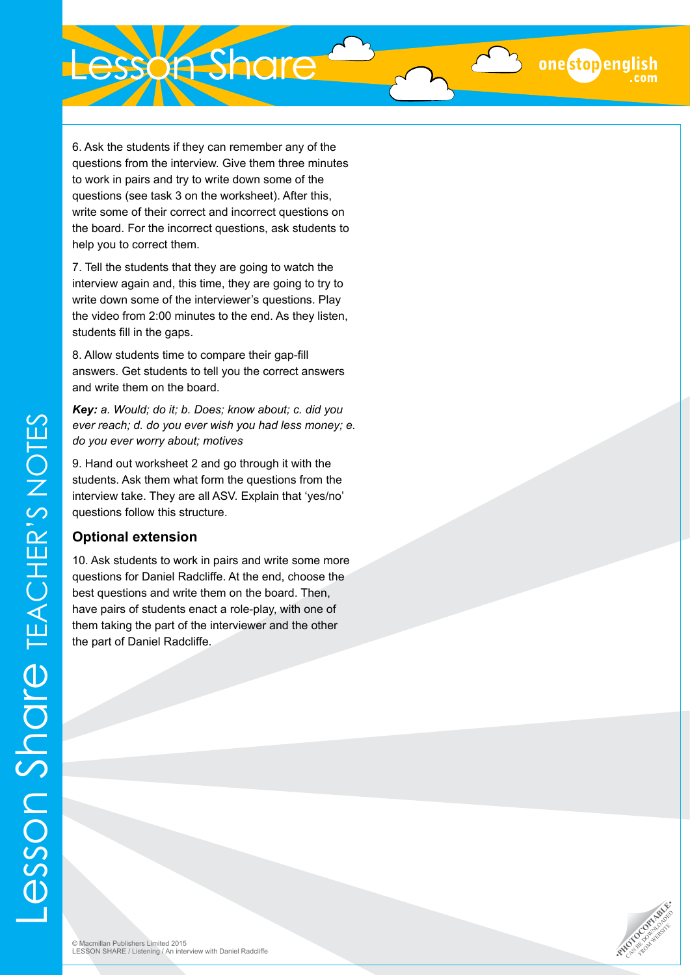6. Ask the students if they can remember any of the questions from the interview. Give them three minutes to work in pairs and try to write down some of the questions (see task 3 on the worksheet). After this, write some of their correct and incorrect questions on the board. For the incorrect questions, ask students to help you to correct them.

7. Tell the students that they are going to watch the interview again and, this time, they are going to try to write down some of the interviewer's questions. Play the video from 2:00 minutes to the end. As they listen, students fill in the gaps.

8. Allow students time to compare their gap-fill answers. Get students to tell you the correct answers and write them on the board.

*Key: a. Would; do it; b. Does; know about; c. did you ever reach; d. do you ever wish you had less money; e. do you ever worry about; motives*

9. Hand out worksheet 2 and go through it with the students. Ask them what form the questions from the interview take. They are all ASV. Explain that 'yes/no' questions follow this structure.

#### **Optional extension**

10. Ask students to work in pairs and write some more questions for Daniel Radcliffe. At the end, choose the best questions and write them on the board. Then, have pairs of students enact a role-play, with one of them taking the part of the interviewer and the other the part of Daniel Radcliffe.



onestopenglish

Lesson Share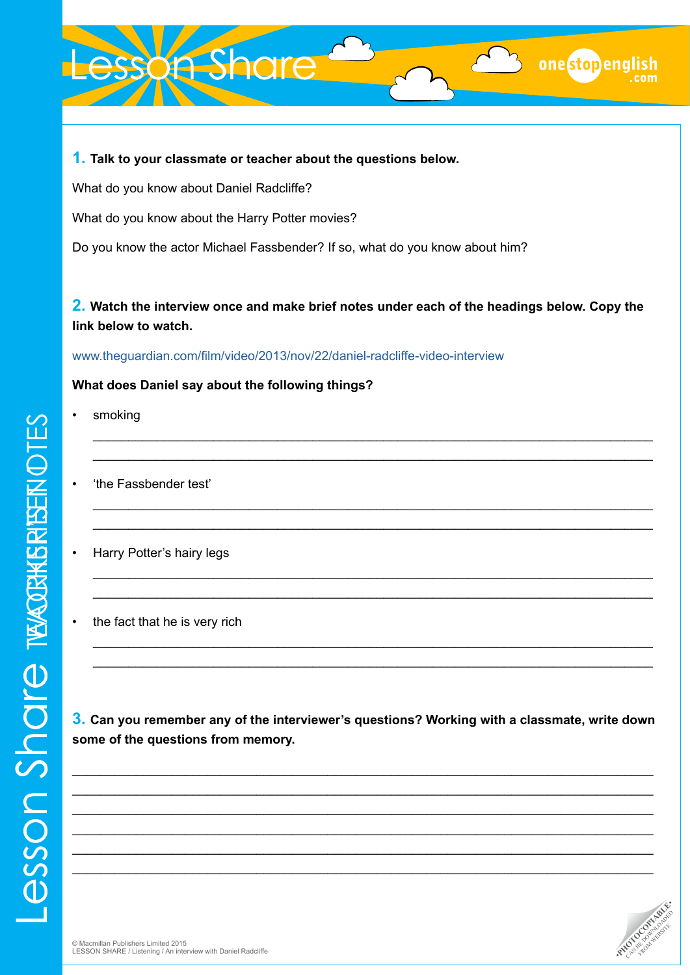# esson Share

#### **1. Talk to your classmate or teacher about the questions below.**

What do you know about Daniel Radcliffe?

What do you know about the Harry Potter movies?

Do you know the actor Michael Fassbender? If so, what do you know about him?

## **2. Watch the interview once and make brief notes under each of the headings below. Copy the link below to watch.**

\_\_\_\_\_\_\_\_\_\_\_\_\_\_\_\_\_\_\_\_\_\_\_\_\_\_\_\_\_\_\_\_\_\_\_\_\_\_\_\_\_\_\_\_\_\_\_\_\_\_\_\_\_\_\_\_\_\_\_\_\_\_\_\_\_\_\_\_\_\_\_\_\_\_\_\_\_\_\_ \_\_\_\_\_\_\_\_\_\_\_\_\_\_\_\_\_\_\_\_\_\_\_\_\_\_\_\_\_\_\_\_\_\_\_\_\_\_\_\_\_\_\_\_\_\_\_\_\_\_\_\_\_\_\_\_\_\_\_\_\_\_\_\_\_\_\_\_\_\_\_\_\_\_\_\_\_\_\_

\_\_\_\_\_\_\_\_\_\_\_\_\_\_\_\_\_\_\_\_\_\_\_\_\_\_\_\_\_\_\_\_\_\_\_\_\_\_\_\_\_\_\_\_\_\_\_\_\_\_\_\_\_\_\_\_\_\_\_\_\_\_\_\_\_\_\_\_\_\_\_\_\_\_\_\_\_\_\_ \_\_\_\_\_\_\_\_\_\_\_\_\_\_\_\_\_\_\_\_\_\_\_\_\_\_\_\_\_\_\_\_\_\_\_\_\_\_\_\_\_\_\_\_\_\_\_\_\_\_\_\_\_\_\_\_\_\_\_\_\_\_\_\_\_\_\_\_\_\_\_\_\_\_\_\_\_\_\_

\_\_\_\_\_\_\_\_\_\_\_\_\_\_\_\_\_\_\_\_\_\_\_\_\_\_\_\_\_\_\_\_\_\_\_\_\_\_\_\_\_\_\_\_\_\_\_\_\_\_\_\_\_\_\_\_\_\_\_\_\_\_\_\_\_\_\_\_\_\_\_\_\_\_\_\_\_\_\_ \_\_\_\_\_\_\_\_\_\_\_\_\_\_\_\_\_\_\_\_\_\_\_\_\_\_\_\_\_\_\_\_\_\_\_\_\_\_\_\_\_\_\_\_\_\_\_\_\_\_\_\_\_\_\_\_\_\_\_\_\_\_\_\_\_\_\_\_\_\_\_\_\_\_\_\_\_\_\_

\_\_\_\_\_\_\_\_\_\_\_\_\_\_\_\_\_\_\_\_\_\_\_\_\_\_\_\_\_\_\_\_\_\_\_\_\_\_\_\_\_\_\_\_\_\_\_\_\_\_\_\_\_\_\_\_\_\_\_\_\_\_\_\_\_\_\_\_\_\_\_\_\_\_\_\_\_\_\_ \_\_\_\_\_\_\_\_\_\_\_\_\_\_\_\_\_\_\_\_\_\_\_\_\_\_\_\_\_\_\_\_\_\_\_\_\_\_\_\_\_\_\_\_\_\_\_\_\_\_\_\_\_\_\_\_\_\_\_\_\_\_\_\_\_\_\_\_\_\_\_\_\_\_\_\_\_\_\_

[www.theguardian.com/film/video/2013/nov/22/daniel-radcliffe-video-interview](http://www.theguardian.com/film/video/2013/nov/22/daniel-radcliffe-video-interview)

#### **What does Daniel say about the following things?**

- smoking
- 'the Fassbender test'
- Harry Potter's hairy legs
- the fact that he is very rich

**3. Can you remember any of the interviewer's questions? Working with a classmate, write down some of the questions from memory.**

\_\_\_\_\_\_\_\_\_\_\_\_\_\_\_\_\_\_\_\_\_\_\_\_\_\_\_\_\_\_\_\_\_\_\_\_\_\_\_\_\_\_\_\_\_\_\_\_\_\_\_\_\_\_\_\_\_\_\_\_\_\_\_\_\_\_\_\_\_\_\_\_\_\_\_\_\_\_\_\_\_\_ \_\_\_\_\_\_\_\_\_\_\_\_\_\_\_\_\_\_\_\_\_\_\_\_\_\_\_\_\_\_\_\_\_\_\_\_\_\_\_\_\_\_\_\_\_\_\_\_\_\_\_\_\_\_\_\_\_\_\_\_\_\_\_\_\_\_\_\_\_\_\_\_\_\_\_\_\_\_\_\_\_\_ \_\_\_\_\_\_\_\_\_\_\_\_\_\_\_\_\_\_\_\_\_\_\_\_\_\_\_\_\_\_\_\_\_\_\_\_\_\_\_\_\_\_\_\_\_\_\_\_\_\_\_\_\_\_\_\_\_\_\_\_\_\_\_\_\_\_\_\_\_\_\_\_\_\_\_\_\_\_\_\_\_\_ \_\_\_\_\_\_\_\_\_\_\_\_\_\_\_\_\_\_\_\_\_\_\_\_\_\_\_\_\_\_\_\_\_\_\_\_\_\_\_\_\_\_\_\_\_\_\_\_\_\_\_\_\_\_\_\_\_\_\_\_\_\_\_\_\_\_\_\_\_\_\_\_\_\_\_\_\_\_\_\_\_\_ \_\_\_\_\_\_\_\_\_\_\_\_\_\_\_\_\_\_\_\_\_\_\_\_\_\_\_\_\_\_\_\_\_\_\_\_\_\_\_\_\_\_\_\_\_\_\_\_\_\_\_\_\_\_\_\_\_\_\_\_\_\_\_\_\_\_\_\_\_\_\_\_\_\_\_\_\_\_\_\_\_\_ \_\_\_\_\_\_\_\_\_\_\_\_\_\_\_\_\_\_\_\_\_\_\_\_\_\_\_\_\_\_\_\_\_\_\_\_\_\_\_\_\_\_\_\_\_\_\_\_\_\_\_\_\_\_\_\_\_\_\_\_\_\_\_\_\_\_\_\_\_\_\_\_\_\_\_\_\_\_\_\_\_\_



onestopen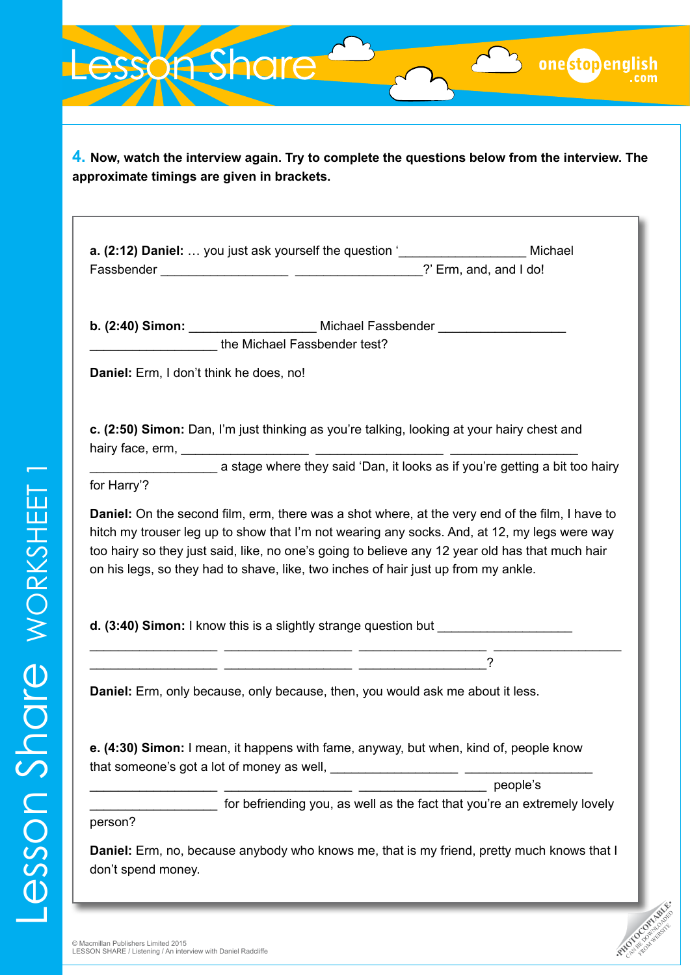esson Share onestopen **4. Now, watch the interview again. Try to complete the questions below from the interview. The approximate timings are given in brackets. a. (2:12) Daniel:** … you just ask yourself the question '\_\_\_\_\_\_\_\_\_\_\_\_\_\_\_\_\_\_ Michael Fassbender \_\_\_\_\_\_\_\_\_\_\_\_\_\_\_\_\_\_ \_\_\_\_\_\_\_\_\_\_\_\_\_\_\_\_\_\_?' Erm, and, and I do! **b. (2:40) Simon:** \_\_\_\_\_\_\_\_\_\_\_\_\_\_\_\_\_\_ Michael Fassbender \_\_\_\_\_\_\_\_\_\_\_\_\_\_\_\_\_\_ the Michael Fassbender test? **Daniel:** Erm, I don't think he does, no! **c. (2:50) Simon:** Dan, I'm just thinking as you're talking, looking at your hairy chest and hairy face, erm, \_\_\_\_\_\_\_\_\_\_\_\_\_\_\_\_\_\_ \_\_\_\_\_\_\_\_\_\_\_\_\_\_\_\_\_\_ \_\_\_\_\_\_\_\_\_\_\_\_\_\_\_\_\_\_ a stage where they said 'Dan, it looks as if you're getting a bit too hairy for Harry'? **Daniel:** On the second film, erm, there was a shot where, at the very end of the film, I have to hitch my trouser leg up to show that I'm not wearing any socks. And, at 12, my legs were way too hairy so they just said, like, no one's going to believe any 12 year old has that much hair on his legs, so they had to shave, like, two inches of hair just up from my ankle. **d. (3:40) Simon:** I know this is a slightly strange question but \_\_\_\_\_\_\_\_\_\_\_\_\_\_\_\_\_\_ \_\_\_\_\_\_\_\_\_\_\_\_\_\_\_\_\_\_ \_\_\_\_\_\_\_\_\_\_\_\_\_\_\_\_\_\_ \_\_\_\_\_\_\_\_\_\_\_\_\_\_\_\_\_\_ \_\_\_\_\_\_\_\_\_\_\_\_\_\_\_\_\_\_ \_\_\_\_\_\_\_\_\_\_\_\_\_\_\_\_\_\_ \_\_\_\_\_\_\_\_\_\_\_\_\_\_\_\_\_\_? **Daniel:** Erm, only because, only because, then, you would ask me about it less. **e. (4:30) Simon:** I mean, it happens with fame, anyway, but when, kind of, people know that someone's got a lot of money as well, \_\_\_\_\_\_\_\_\_\_\_\_\_\_\_\_\_\_ \_\_\_\_\_\_\_\_\_\_\_\_\_\_\_\_\_\_ \_\_\_\_\_\_\_\_\_\_\_\_\_\_\_\_\_\_ people's for befriending you, as well as the fact that you're an extremely lovely person? **Daniel:** Erm, no, because anybody who knows me, that is my friend, pretty much knows that I don't spend money.**PHOTOCOPIABLE**